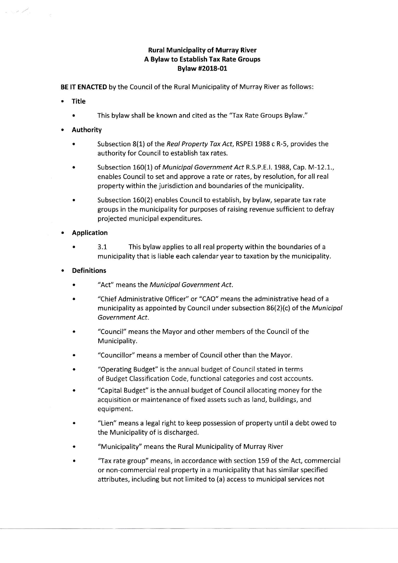# Rural Municipality of Murray River A Bylaw to Establish Tax Rate Groups Bylaw #2018-01

BE lT ENACTED by the Council of the Rural Municipality of Murray River as follows:

**Title** 

Se L

- . This bylaw shall be known and cited as the'Tax Rate Groups Bylaw."
- . Authority
	- Subsection 8(1) of the Real Property Tax Act, RSPEI 1988 c R-5, provides the authority for Council to establish tax rates,
	- Subsection 160(1) of Municipal Government Act R.S.P.E.I. 1988, Cap. M-12.1., enables Council to set and approve a rate or rates, by resolution, for all real property within the jurisdiction and boundaries of the municipality.
	- . Subsection 160(2) enables Council to establish, by bylaw, separate tax rate groups in the municipality for purposes of raising revenue sufficient to defray projected municipal expenditures.

## . Application

. 3.1 This bylaw applies to all real property within the boundaries of <sup>a</sup> municipality that is liable each calendar year to taxation by the municipality.

## . Definitions

- "Act" means the Municipal Government Act. .
- . "Chief Adminlstrative Officer" or "CAO" means the administrative head of <sup>a</sup> municipality as appointed by Council under subsection  $86(2)(c)$  of the *Municipal* Government Act.
- . "Council" means the Mayor and other members of the Council of the Municipality.
- . "Councillor" means a member of Council other than the Mayor.
- . "Operating Budget" is the annual budget of Council stated in terms of Budget Classification Code, functional categories and cost accounts.
- . "Capital Budget" is the annual budget of Council allocating money for the acquisition or maintenance of fixed assets such as land, buildings, and equipment.
- "Lien" means a legal right to keep possession of property until a debt owed to the Municipality of is discharged.
- . "Municipality" means the Rural Municipality of Murray River
- . 'Tax rate group" means, in accordance with section 159 of the Act, commercial or non-commercial real property in a municipality that has similar specified attributes, including but not limited to (a) access to municipal services not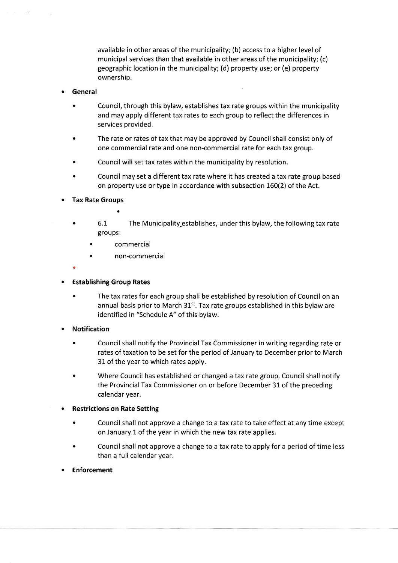available in other areas of the municipality; (b) access to a higher level of municipal services than that available in other areas of the municipality; (c) geographic location in the municipality; (d) property use; or (e) property ownership.

### . General

- . Council, through this bylaw, establishes tax rate groups within the municipality and may apply different tax rates to each group to reflect the differences in services provided.
- . The rate or rates of tax that may be approved by Council shall consist only of one commercial rate and one non-commercial rate for each tax group.
- . Council will set tax rates within the municipality by resolution.
- . Council may set a different tax rate where it has created a tax rate group based on property use or type in accordance with subsection 160(2) of the Act.
- Tax Rate Groups
	-
	- . 6.1 The Municipality\_establishes, under this bylaw, the following tax rate groups:
		- . commercial
		- non-commercial
	-
- . Establishing Group Rates
	- . The tax rates for each group shall be established by resolution of Council on an annual basis prior to March 31<sup>st</sup>. Tax rate groups established in this bylaw are identified in "Schedule A" of this bylaw.
- **Notification** 
	- . Council shall notify the Provincial Tax Commissioner in writing regarding rate or rates of taxation to be set for the period of January to December prior to March 31 of the year to which rates apply.
	- . Where Council has established or changed a tax rate group, Council shall notify the Provincial Tax Commissioner on or before December 31 of the preceding calendar year.
- . Restrictions on Rate Setting
	- . Council shall not approve a change to a tax rate to take effect at any time except on January 1 of the year in which the new tax rate applies.
	- . Council shall not approve a change to a tax rate to apply for a period of time less than a full calendar year.
- . Enforcement